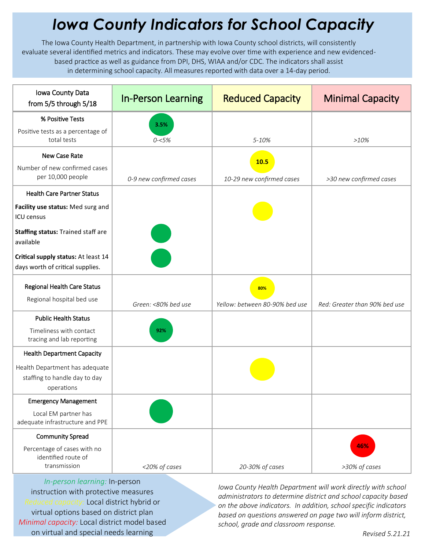## *Iowa County Indicators for School Capacity*

The Iowa County Health Department, in partnership with Iowa County school districts, will consistently evaluate several identified metrics and indicators. These may evolve over time with experience and new evidencedbased practice as well as guidance from DPI, DHS, WIAA and/or CDC. The indicators shall assist in determining school capacity. All measures reported with data over a 14-day period.

| Iowa County Data<br>from 5/5 through 5/18                                     | <b>In-Person Learning</b> | <b>Reduced Capacity</b>        | <b>Minimal Capacity</b>       |
|-------------------------------------------------------------------------------|---------------------------|--------------------------------|-------------------------------|
| % Positive Tests                                                              | 3.5%                      |                                |                               |
| Positive tests as a percentage of<br>total tests                              | $0 - 5%$                  | 5-10%                          | >10%                          |
| New Case Rate                                                                 |                           | 10.5                           |                               |
| Number of new confirmed cases<br>per 10,000 people                            | 0-9 new confirmed cases   | 10-29 new confirmed cases      | >30 new confirmed cases       |
| <b>Health Care Partner Status</b>                                             |                           |                                |                               |
| Facility use status: Med surg and<br><b>ICU</b> census                        |                           |                                |                               |
| <b>Staffing status: Trained staff are</b><br>available                        |                           |                                |                               |
| Critical supply status: At least 14<br>days worth of critical supplies.       |                           |                                |                               |
| Regional Health Care Status<br>Regional hospital bed use                      |                           | 80%                            |                               |
| <b>Public Health Status</b>                                                   | Green: <80% bed use       | Yellow: between 80-90% bed use | Red: Greater than 90% bed use |
| Timeliness with contact<br>tracing and lab reporting                          | 92%                       |                                |                               |
| <b>Health Department Capacity</b>                                             |                           |                                |                               |
| Health Department has adequate<br>staffing to handle day to day<br>operations |                           |                                |                               |
| <b>Emergency Management</b>                                                   |                           |                                |                               |
| Local EM partner has<br>adequate infrastructure and PPE                       |                           |                                |                               |
| <b>Community Spread</b>                                                       |                           |                                |                               |
| Percentage of cases with no<br>identified route of<br>transmission            | <20% of cases             | 20-30% of cases                | 46%<br>>30% of cases          |

*In-person learning:* In-person instruction with protective measures *Reduced capacity:* Local district hybrid or virtual options based on district plan *Minimal capacity:* Local district model based on virtual and special needs learning

*Iowa County Health Department will work directly with school administrators to determine district and school capacity based on the above indicators. In addition, school specific indicators based on questions answered on page two will inform district, school, grade and classroom response.*